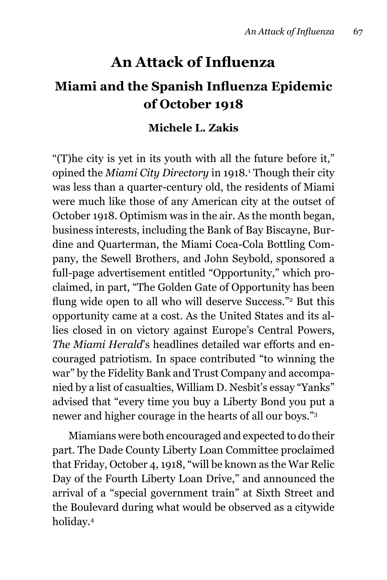## **An Attack of Influenza**

## **Miami and the Spanish Influenza Epidemic of October 1918**

## **Michele L. Zakis**

"(T)he city is yet in its youth with all the future before it," opined the *Miami City Directory* in 1918.<sup>1</sup> Though their city was less than a quarter-century old, the residents of Miami were much like those of any American city at the outset of October 1918. Optimism was in the air. As the month began, business interests, including the Bank of Bay Biscayne, Burdine and Quarterman, the Miami Coca-Cola Bottling Company, the Sewell Brothers, and John Seybold, sponsored a full-page advertisement entitled "Opportunity," which proclaimed, in part, "The Golden Gate of Opportunity has been flung wide open to all who will deserve Success."<sup>2</sup> But this opportunity came at a cost. As the United States and its allies closed in on victory against Europe's Central Powers, *The Miami Herald*'s headlines detailed war efforts and encouraged patriotism. In space contributed "to winning the war" by the Fidelity Bank and Trust Company and accompanied by a list of casualties, William D. Nesbit's essay "Yanks" advised that "every time you buy a Liberty Bond you put a newer and higher courage in the hearts of all our boys."3

Miamians were both encouraged and expected to do their part. The Dade County Liberty Loan Committee proclaimed that Friday, October 4, 1918, "will be known as the War Relic Day of the Fourth Liberty Loan Drive," and announced the arrival of a "special government train" at Sixth Street and the Boulevard during what would be observed as a citywide holiday.4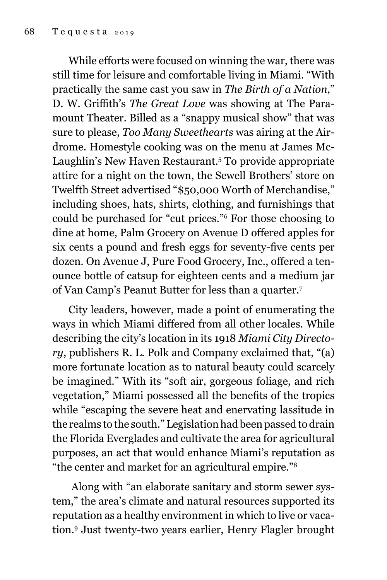While efforts were focused on winning the war, there was still time for leisure and comfortable living in Miami. "With practically the same cast you saw in *The Birth of a Nation*," D. W. Griffith's *The Great Love* was showing at The Paramount Theater. Billed as a "snappy musical show" that was sure to please, *Too Many Sweethearts* was airing at the Airdrome. Homestyle cooking was on the menu at James Mc-Laughlin's New Haven Restaurant.<sup>5</sup> To provide appropriate attire for a night on the town, the Sewell Brothers' store on Twelfth Street advertised "\$50,000 Worth of Merchandise," including shoes, hats, shirts, clothing, and furnishings that could be purchased for "cut prices."6 For those choosing to dine at home, Palm Grocery on Avenue D offered apples for six cents a pound and fresh eggs for seventy-five cents per dozen. On Avenue J, Pure Food Grocery, Inc., offered a tenounce bottle of catsup for eighteen cents and a medium jar of Van Camp's Peanut Butter for less than a quarter.7

City leaders, however, made a point of enumerating the ways in which Miami differed from all other locales. While describing the city's location in its 1918 *Miami City Directory*, publishers R. L. Polk and Company exclaimed that, "(a) more fortunate location as to natural beauty could scarcely be imagined." With its "soft air, gorgeous foliage, and rich vegetation," Miami possessed all the benefits of the tropics while "escaping the severe heat and enervating lassitude in the realms to the south." Legislation had been passed to drain the Florida Everglades and cultivate the area for agricultural purposes, an act that would enhance Miami's reputation as "the center and market for an agricultural empire."8

 Along with "an elaborate sanitary and storm sewer system," the area's climate and natural resources supported its reputation as a healthy environment in which to live or vacation.9 Just twenty-two years earlier, Henry Flagler brought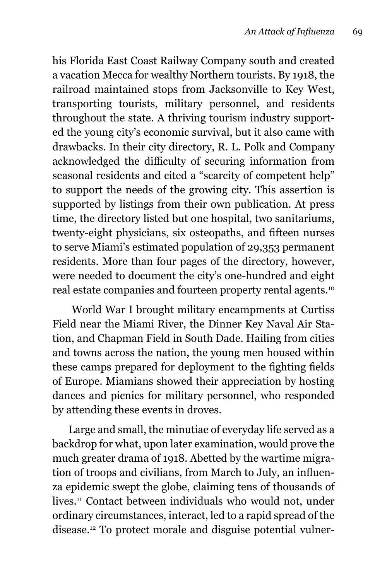his Florida East Coast Railway Company south and created a vacation Mecca for wealthy Northern tourists. By 1918, the railroad maintained stops from Jacksonville to Key West, transporting tourists, military personnel, and residents throughout the state. A thriving tourism industry supported the young city's economic survival, but it also came with drawbacks. In their city directory, R. L. Polk and Company acknowledged the difficulty of securing information from seasonal residents and cited a "scarcity of competent help" to support the needs of the growing city. This assertion is supported by listings from their own publication. At press time, the directory listed but one hospital, two sanitariums, twenty-eight physicians, six osteopaths, and fifteen nurses to serve Miami's estimated population of 29,353 permanent residents. More than four pages of the directory, however, were needed to document the city's one-hundred and eight real estate companies and fourteen property rental agents.10

 World War I brought military encampments at Curtiss Field near the Miami River, the Dinner Key Naval Air Station, and Chapman Field in South Dade. Hailing from cities and towns across the nation, the young men housed within these camps prepared for deployment to the fighting fields of Europe. Miamians showed their appreciation by hosting dances and picnics for military personnel, who responded by attending these events in droves.

Large and small, the minutiae of everyday life served as a backdrop for what, upon later examination, would prove the much greater drama of 1918. Abetted by the wartime migration of troops and civilians, from March to July, an influenza epidemic swept the globe, claiming tens of thousands of lives.11 Contact between individuals who would not, under ordinary circumstances, interact, led to a rapid spread of the disease.12 To protect morale and disguise potential vulner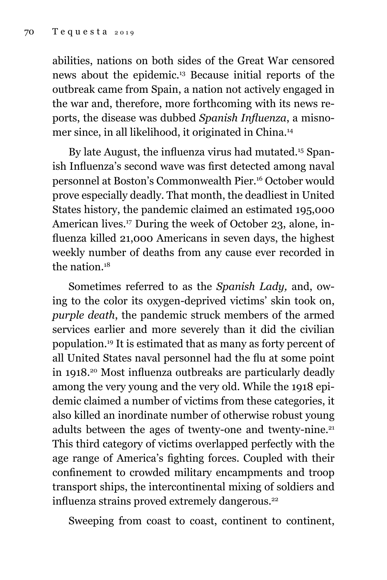abilities, nations on both sides of the Great War censored news about the epidemic.13 Because initial reports of the outbreak came from Spain, a nation not actively engaged in the war and, therefore, more forthcoming with its news reports, the disease was dubbed *Spanish Influenza*, a misnomer since, in all likelihood, it originated in China.14

By late August, the influenza virus had mutated.<sup>15</sup> Spanish Influenza's second wave was first detected among naval personnel at Boston's Commonwealth Pier.16 October would prove especially deadly. That month, the deadliest in United States history, the pandemic claimed an estimated 195,000 American lives.17 During the week of October 23, alone, influenza killed 21,000 Americans in seven days, the highest weekly number of deaths from any cause ever recorded in the nation  $18$ 

Sometimes referred to as the *Spanish Lady,* and, owing to the color its oxygen-deprived victims' skin took on, *purple death*, the pandemic struck members of the armed services earlier and more severely than it did the civilian population.19 It is estimated that as many as forty percent of all United States naval personnel had the flu at some point in 1918.20 Most influenza outbreaks are particularly deadly among the very young and the very old. While the 1918 epidemic claimed a number of victims from these categories, it also killed an inordinate number of otherwise robust young adults between the ages of twenty-one and twenty-nine.<sup>21</sup> This third category of victims overlapped perfectly with the age range of America's fighting forces. Coupled with their confinement to crowded military encampments and troop transport ships, the intercontinental mixing of soldiers and influenza strains proved extremely dangerous.<sup>22</sup>

Sweeping from coast to coast, continent to continent,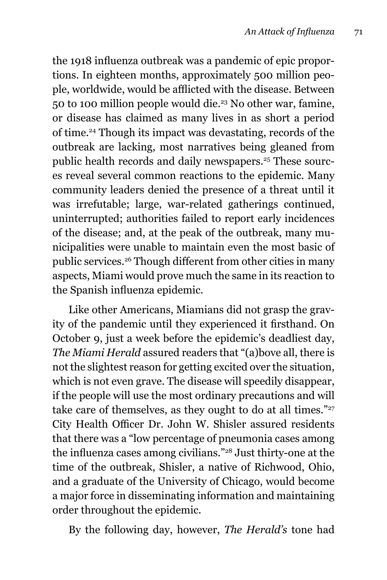the 1918 influenza outbreak was a pandemic of epic proportions. In eighteen months, approximately 500 million people, worldwide, would be afflicted with the disease. Between 50 to 100 million people would die.23 No other war, famine, or disease has claimed as many lives in as short a period of time.24 Though its impact was devastating, records of the outbreak are lacking, most narratives being gleaned from public health records and daily newspapers.<sup>25</sup> These sources reveal several common reactions to the epidemic. Many community leaders denied the presence of a threat until it was irrefutable; large, war-related gatherings continued, uninterrupted; authorities failed to report early incidences of the disease; and, at the peak of the outbreak, many municipalities were unable to maintain even the most basic of public services.26 Though different from other cities in many aspects, Miami would prove much the same in its reaction to the Spanish influenza epidemic.

Like other Americans, Miamians did not grasp the gravity of the pandemic until they experienced it firsthand. On October 9, just a week before the epidemic's deadliest day, *The Miami Herald* assured readers that "(a)bove all, there is not the slightest reason for getting excited over the situation, which is not even grave. The disease will speedily disappear, if the people will use the most ordinary precautions and will take care of themselves, as they ought to do at all times." $27$ City Health Officer Dr. John W. Shisler assured residents that there was a "low percentage of pneumonia cases among the influenza cases among civilians."28 Just thirty-one at the time of the outbreak, Shisler, a native of Richwood, Ohio, and a graduate of the University of Chicago, would become a major force in disseminating information and maintaining order throughout the epidemic.

By the following day, however, *The Herald's* tone had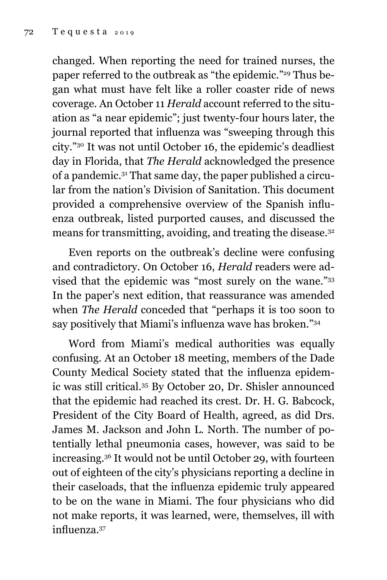changed. When reporting the need for trained nurses, the paper referred to the outbreak as "the epidemic."29 Thus began what must have felt like a roller coaster ride of news coverage. An October 11 *Herald* account referred to the situation as "a near epidemic"; just twenty-four hours later, the journal reported that influenza was "sweeping through this city."30 It was not until October 16, the epidemic's deadliest day in Florida, that *The Herald* acknowledged the presence of a pandemic.31 That same day, the paper published a circular from the nation's Division of Sanitation. This document provided a comprehensive overview of the Spanish influenza outbreak, listed purported causes, and discussed the means for transmitting, avoiding, and treating the disease.32

Even reports on the outbreak's decline were confusing and contradictory. On October 16, *Herald* readers were advised that the epidemic was "most surely on the wane."33 In the paper's next edition, that reassurance was amended when *The Herald* conceded that "perhaps it is too soon to say positively that Miami's influenza wave has broken."<sup>34</sup>

Word from Miami's medical authorities was equally confusing. At an October 18 meeting, members of the Dade County Medical Society stated that the influenza epidemic was still critical.35 By October 20, Dr. Shisler announced that the epidemic had reached its crest. Dr. H. G. Babcock, President of the City Board of Health, agreed, as did Drs. James M. Jackson and John L. North. The number of potentially lethal pneumonia cases, however, was said to be increasing.36 It would not be until October 29, with fourteen out of eighteen of the city's physicians reporting a decline in their caseloads, that the influenza epidemic truly appeared to be on the wane in Miami. The four physicians who did not make reports, it was learned, were, themselves, ill with influenza.37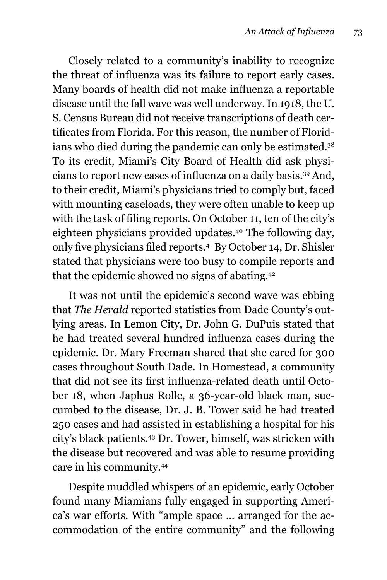Closely related to a community's inability to recognize the threat of influenza was its failure to report early cases. Many boards of health did not make influenza a reportable disease until the fall wave was well underway. In 1918, the U. S. Census Bureau did not receive transcriptions of death certificates from Florida. For this reason, the number of Floridians who died during the pandemic can only be estimated.<sup>38</sup> To its credit, Miami's City Board of Health did ask physicians to report new cases of influenza on a daily basis.39 And, to their credit, Miami's physicians tried to comply but, faced with mounting caseloads, they were often unable to keep up with the task of filing reports. On October 11, ten of the city's eighteen physicians provided updates.40 The following day, only five physicians filed reports.41 By October 14, Dr. Shisler stated that physicians were too busy to compile reports and that the epidemic showed no signs of abating.<sup>42</sup>

It was not until the epidemic's second wave was ebbing that *The Herald* reported statistics from Dade County's outlying areas. In Lemon City, Dr. John G. DuPuis stated that he had treated several hundred influenza cases during the epidemic. Dr. Mary Freeman shared that she cared for 300 cases throughout South Dade. In Homestead, a community that did not see its first influenza-related death until October 18, when Japhus Rolle, a 36-year-old black man, succumbed to the disease, Dr. J. B. Tower said he had treated 250 cases and had assisted in establishing a hospital for his city's black patients.43 Dr. Tower, himself, was stricken with the disease but recovered and was able to resume providing care in his community.44

Despite muddled whispers of an epidemic, early October found many Miamians fully engaged in supporting America's war efforts. With "ample space … arranged for the accommodation of the entire community" and the following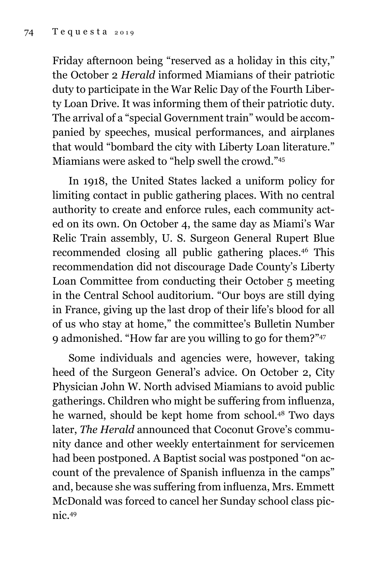Friday afternoon being "reserved as a holiday in this city," the October 2 *Herald* informed Miamians of their patriotic duty to participate in the War Relic Day of the Fourth Liberty Loan Drive. It was informing them of their patriotic duty. The arrival of a "special Government train" would be accompanied by speeches, musical performances, and airplanes that would "bombard the city with Liberty Loan literature." Miamians were asked to "help swell the crowd."45

In 1918, the United States lacked a uniform policy for limiting contact in public gathering places. With no central authority to create and enforce rules, each community acted on its own. On October 4, the same day as Miami's War Relic Train assembly, U. S. Surgeon General Rupert Blue recommended closing all public gathering places.46 This recommendation did not discourage Dade County's Liberty Loan Committee from conducting their October 5 meeting in the Central School auditorium. "Our boys are still dying in France, giving up the last drop of their life's blood for all of us who stay at home," the committee's Bulletin Number 9 admonished. "How far are you willing to go for them?"47

Some individuals and agencies were, however, taking heed of the Surgeon General's advice. On October 2, City Physician John W. North advised Miamians to avoid public gatherings. Children who might be suffering from influenza, he warned, should be kept home from school.48 Two days later, *The Herald* announced that Coconut Grove's community dance and other weekly entertainment for servicemen had been postponed. A Baptist social was postponed "on account of the prevalence of Spanish influenza in the camps" and, because she was suffering from influenza, Mrs. Emmett McDonald was forced to cancel her Sunday school class picnic.49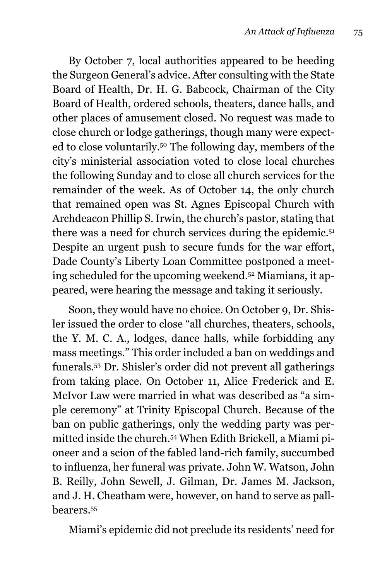By October 7, local authorities appeared to be heeding the Surgeon General's advice. After consulting with the State Board of Health, Dr. H. G. Babcock, Chairman of the City Board of Health, ordered schools, theaters, dance halls, and other places of amusement closed. No request was made to close church or lodge gatherings, though many were expected to close voluntarily.50 The following day, members of the city's ministerial association voted to close local churches the following Sunday and to close all church services for the remainder of the week. As of October 14, the only church that remained open was St. Agnes Episcopal Church with Archdeacon Phillip S. Irwin, the church's pastor, stating that there was a need for church services during the epidemic.<sup>51</sup> Despite an urgent push to secure funds for the war effort, Dade County's Liberty Loan Committee postponed a meeting scheduled for the upcoming weekend.52 Miamians, it appeared, were hearing the message and taking it seriously.

Soon, they would have no choice. On October 9, Dr. Shisler issued the order to close "all churches, theaters, schools, the Y. M. C. A., lodges, dance halls, while forbidding any mass meetings." This order included a ban on weddings and funerals.53 Dr. Shisler's order did not prevent all gatherings from taking place. On October 11, Alice Frederick and E. McIvor Law were married in what was described as "a simple ceremony" at Trinity Episcopal Church. Because of the ban on public gatherings, only the wedding party was permitted inside the church.54 When Edith Brickell, a Miami pioneer and a scion of the fabled land-rich family, succumbed to influenza, her funeral was private. John W. Watson, John B. Reilly, John Sewell, J. Gilman, Dr. James M. Jackson, and J. H. Cheatham were, however, on hand to serve as pallbearers.55

Miami's epidemic did not preclude its residents' need for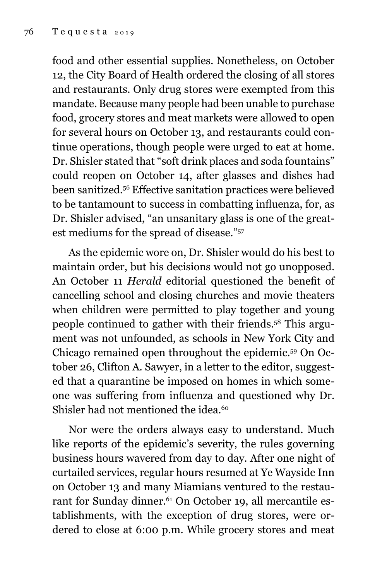food and other essential supplies. Nonetheless, on October 12, the City Board of Health ordered the closing of all stores and restaurants. Only drug stores were exempted from this mandate. Because many people had been unable to purchase food, grocery stores and meat markets were allowed to open for several hours on October 13, and restaurants could continue operations, though people were urged to eat at home. Dr. Shisler stated that "soft drink places and soda fountains" could reopen on October 14, after glasses and dishes had been sanitized.<sup>56</sup> Effective sanitation practices were believed to be tantamount to success in combatting influenza, for, as Dr. Shisler advised, "an unsanitary glass is one of the greatest mediums for the spread of disease."57

As the epidemic wore on, Dr. Shisler would do his best to maintain order, but his decisions would not go unopposed. An October 11 *Herald* editorial questioned the benefit of cancelling school and closing churches and movie theaters when children were permitted to play together and young people continued to gather with their friends.58 This argument was not unfounded, as schools in New York City and Chicago remained open throughout the epidemic.59 On October 26, Clifton A. Sawyer, in a letter to the editor, suggested that a quarantine be imposed on homes in which someone was suffering from influenza and questioned why Dr. Shisler had not mentioned the idea.<sup>60</sup>

Nor were the orders always easy to understand. Much like reports of the epidemic's severity, the rules governing business hours wavered from day to day. After one night of curtailed services, regular hours resumed at Ye Wayside Inn on October 13 and many Miamians ventured to the restaurant for Sunday dinner.<sup>61</sup> On October 19, all mercantile establishments, with the exception of drug stores, were ordered to close at 6:00 p.m. While grocery stores and meat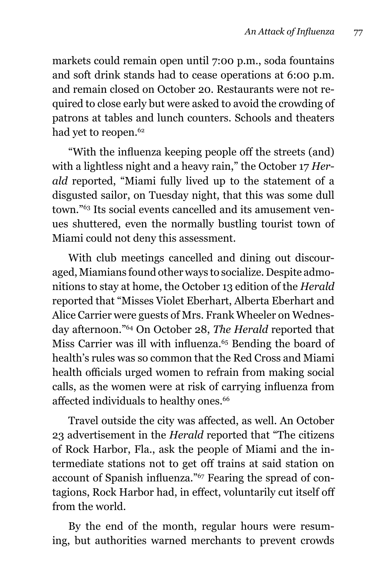markets could remain open until 7:00 p.m., soda fountains and soft drink stands had to cease operations at 6:00 p.m. and remain closed on October 20. Restaurants were not required to close early but were asked to avoid the crowding of patrons at tables and lunch counters. Schools and theaters had yet to reopen.<sup>62</sup>

"With the influenza keeping people off the streets (and) with a lightless night and a heavy rain," the October 17 *Herald* reported, "Miami fully lived up to the statement of a disgusted sailor, on Tuesday night, that this was some dull town."63 Its social events cancelled and its amusement venues shuttered, even the normally bustling tourist town of Miami could not deny this assessment.

With club meetings cancelled and dining out discouraged, Miamians found other ways to socialize. Despite admonitions to stay at home, the October 13 edition of the *Herald*  reported that "Misses Violet Eberhart, Alberta Eberhart and Alice Carrier were guests of Mrs. Frank Wheeler on Wednesday afternoon."64 On October 28, *The Herald* reported that Miss Carrier was ill with influenza.<sup>65</sup> Bending the board of health's rules was so common that the Red Cross and Miami health officials urged women to refrain from making social calls, as the women were at risk of carrying influenza from affected individuals to healthy ones.<sup>66</sup>

Travel outside the city was affected, as well. An October 23 advertisement in the *Herald* reported that "The citizens of Rock Harbor, Fla., ask the people of Miami and the intermediate stations not to get off trains at said station on account of Spanish influenza."67 Fearing the spread of contagions, Rock Harbor had, in effect, voluntarily cut itself off from the world.

By the end of the month, regular hours were resuming, but authorities warned merchants to prevent crowds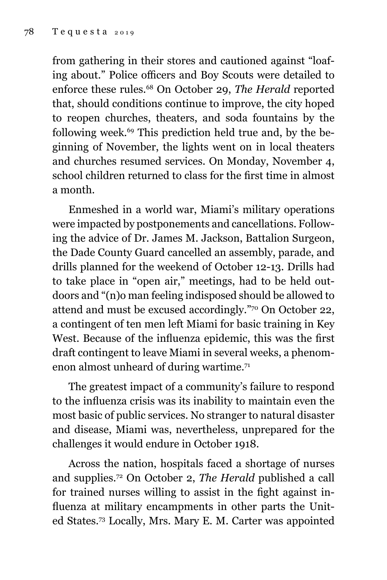from gathering in their stores and cautioned against "loafing about." Police officers and Boy Scouts were detailed to enforce these rules.68 On October 29, *The Herald* reported that, should conditions continue to improve, the city hoped to reopen churches, theaters, and soda fountains by the following week.69 This prediction held true and, by the beginning of November, the lights went on in local theaters and churches resumed services. On Monday, November 4, school children returned to class for the first time in almost a month.

Enmeshed in a world war, Miami's military operations were impacted by postponements and cancellations. Following the advice of Dr. James M. Jackson, Battalion Surgeon, the Dade County Guard cancelled an assembly, parade, and drills planned for the weekend of October 12-13. Drills had to take place in "open air," meetings, had to be held outdoors and "(n)o man feeling indisposed should be allowed to attend and must be excused accordingly."70 On October 22, a contingent of ten men left Miami for basic training in Key West. Because of the influenza epidemic, this was the first draft contingent to leave Miami in several weeks, a phenomenon almost unheard of during wartime.<sup>71</sup>

The greatest impact of a community's failure to respond to the influenza crisis was its inability to maintain even the most basic of public services. No stranger to natural disaster and disease, Miami was, nevertheless, unprepared for the challenges it would endure in October 1918.

Across the nation, hospitals faced a shortage of nurses and supplies.72 On October 2, *The Herald* published a call for trained nurses willing to assist in the fight against influenza at military encampments in other parts the United States.73 Locally, Mrs. Mary E. M. Carter was appointed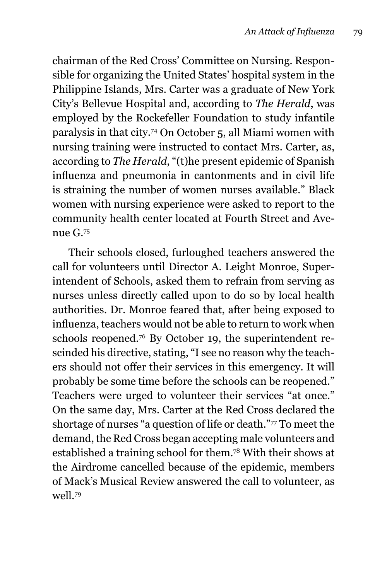chairman of the Red Cross' Committee on Nursing. Responsible for organizing the United States' hospital system in the Philippine Islands, Mrs. Carter was a graduate of New York City's Bellevue Hospital and, according to *The Herald*, was employed by the Rockefeller Foundation to study infantile paralysis in that city.74 On October 5, all Miami women with nursing training were instructed to contact Mrs. Carter, as, according to *The Herald*, "(t)he present epidemic of Spanish influenza and pneumonia in cantonments and in civil life is straining the number of women nurses available." Black women with nursing experience were asked to report to the community health center located at Fourth Street and Avenue G.75

Their schools closed, furloughed teachers answered the call for volunteers until Director A. Leight Monroe, Superintendent of Schools, asked them to refrain from serving as nurses unless directly called upon to do so by local health authorities. Dr. Monroe feared that, after being exposed to influenza, teachers would not be able to return to work when schools reopened.76 By October 19, the superintendent rescinded his directive, stating, "I see no reason why the teachers should not offer their services in this emergency. It will probably be some time before the schools can be reopened." Teachers were urged to volunteer their services "at once." On the same day, Mrs. Carter at the Red Cross declared the shortage of nurses "a question of life or death."77 To meet the demand, the Red Cross began accepting male volunteers and established a training school for them.78 With their shows at the Airdrome cancelled because of the epidemic, members of Mack's Musical Review answered the call to volunteer, as well.79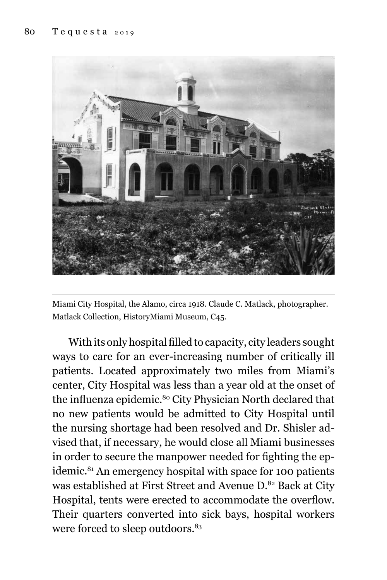

Miami City Hospital, the Alamo, circa 1918. Claude C. Matlack, photographer. Matlack Collection, HistoryMiami Museum, C45.

With its only hospital filled to capacity, city leaders sought ways to care for an ever-increasing number of critically ill patients. Located approximately two miles from Miami's center, City Hospital was less than a year old at the onset of the influenza epidemic.80 City Physician North declared that no new patients would be admitted to City Hospital until the nursing shortage had been resolved and Dr. Shisler advised that, if necessary, he would close all Miami businesses in order to secure the manpower needed for fighting the epidemic.<sup>81</sup> An emergency hospital with space for 100 patients was established at First Street and Avenue D.82 Back at City Hospital, tents were erected to accommodate the overflow. Their quarters converted into sick bays, hospital workers were forced to sleep outdoors.<sup>83</sup>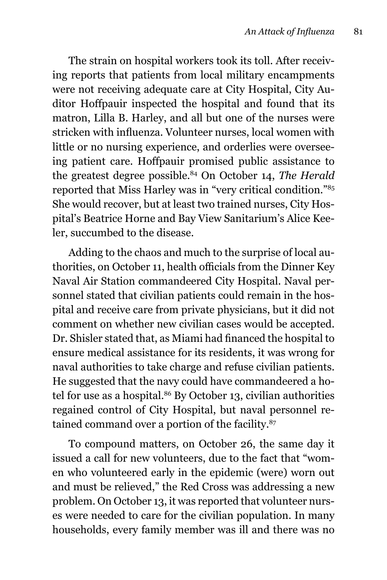The strain on hospital workers took its toll. After receiving reports that patients from local military encampments were not receiving adequate care at City Hospital, City Auditor Hoffpauir inspected the hospital and found that its matron, Lilla B. Harley, and all but one of the nurses were stricken with influenza. Volunteer nurses, local women with little or no nursing experience, and orderlies were overseeing patient care. Hoffpauir promised public assistance to the greatest degree possible.84 On October 14, *The Herald* reported that Miss Harley was in "very critical condition."85 She would recover, but at least two trained nurses, City Hospital's Beatrice Horne and Bay View Sanitarium's Alice Keeler, succumbed to the disease.

Adding to the chaos and much to the surprise of local authorities, on October 11, health officials from the Dinner Key Naval Air Station commandeered City Hospital. Naval personnel stated that civilian patients could remain in the hospital and receive care from private physicians, but it did not comment on whether new civilian cases would be accepted. Dr. Shisler stated that, as Miami had financed the hospital to ensure medical assistance for its residents, it was wrong for naval authorities to take charge and refuse civilian patients. He suggested that the navy could have commandeered a hotel for use as a hospital.<sup>86</sup> By October 13, civilian authorities regained control of City Hospital, but naval personnel retained command over a portion of the facility.<sup>87</sup>

To compound matters, on October 26, the same day it issued a call for new volunteers, due to the fact that "women who volunteered early in the epidemic (were) worn out and must be relieved," the Red Cross was addressing a new problem. On October 13, it was reported that volunteer nurses were needed to care for the civilian population. In many households, every family member was ill and there was no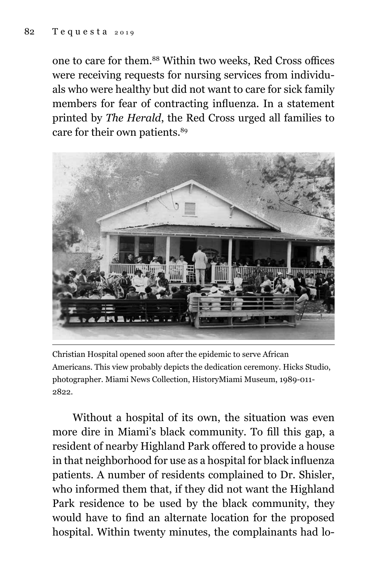one to care for them.88 Within two weeks, Red Cross offices were receiving requests for nursing services from individuals who were healthy but did not want to care for sick family members for fear of contracting influenza. In a statement printed by *The Herald*, the Red Cross urged all families to care for their own patients.<sup>89</sup>



Christian Hospital opened soon after the epidemic to serve African Americans. This view probably depicts the dedication ceremony. Hicks Studio, photographer. Miami News Collection, HistoryMiami Museum, 1989-011- 2822.

 Without a hospital of its own, the situation was even more dire in Miami's black community. To fill this gap, a resident of nearby Highland Park offered to provide a house in that neighborhood for use as a hospital for black influenza patients. A number of residents complained to Dr. Shisler, who informed them that, if they did not want the Highland Park residence to be used by the black community, they would have to find an alternate location for the proposed hospital. Within twenty minutes, the complainants had lo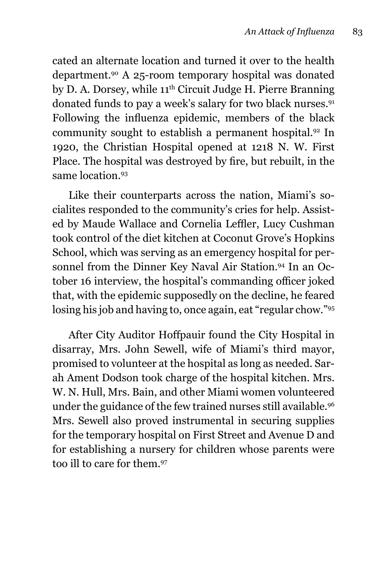cated an alternate location and turned it over to the health department.90 A 25-room temporary hospital was donated by D. A. Dorsey, while 11<sup>th</sup> Circuit Judge H. Pierre Branning donated funds to pay a week's salary for two black nurses.<sup>91</sup> Following the influenza epidemic, members of the black community sought to establish a permanent hospital.92 In 1920, the Christian Hospital opened at 1218 N. W. First Place. The hospital was destroyed by fire, but rebuilt, in the same location.<sup>93</sup>

Like their counterparts across the nation, Miami's socialites responded to the community's cries for help. Assisted by Maude Wallace and Cornelia Leffler, Lucy Cushman took control of the diet kitchen at Coconut Grove's Hopkins School, which was serving as an emergency hospital for personnel from the Dinner Key Naval Air Station.<sup>94</sup> In an October 16 interview, the hospital's commanding officer joked that, with the epidemic supposedly on the decline, he feared losing his job and having to, once again, eat "regular chow."95

After City Auditor Hoffpauir found the City Hospital in disarray, Mrs. John Sewell, wife of Miami's third mayor, promised to volunteer at the hospital as long as needed. Sarah Ament Dodson took charge of the hospital kitchen. Mrs. W. N. Hull, Mrs. Bain, and other Miami women volunteered under the guidance of the few trained nurses still available.96 Mrs. Sewell also proved instrumental in securing supplies for the temporary hospital on First Street and Avenue D and for establishing a nursery for children whose parents were too ill to care for them.97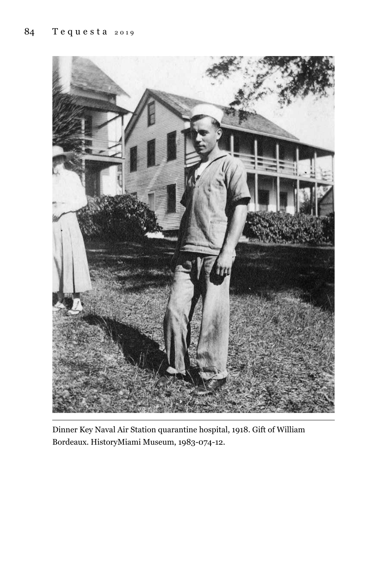

Dinner Key Naval Air Station quarantine hospital, 1918. Gift of William Bordeaux. HistoryMiami Museum, 1983-074-12.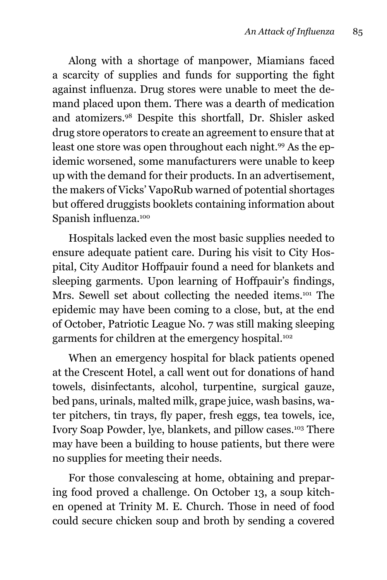Along with a shortage of manpower, Miamians faced a scarcity of supplies and funds for supporting the fight against influenza. Drug stores were unable to meet the demand placed upon them. There was a dearth of medication and atomizers.98 Despite this shortfall, Dr. Shisler asked drug store operators to create an agreement to ensure that at least one store was open throughout each night.<sup>99</sup> As the epidemic worsened, some manufacturers were unable to keep up with the demand for their products. In an advertisement, the makers of Vicks' VapoRub warned of potential shortages but offered druggists booklets containing information about Spanish influenza.<sup>100</sup>

Hospitals lacked even the most basic supplies needed to ensure adequate patient care. During his visit to City Hospital, City Auditor Hoffpauir found a need for blankets and sleeping garments. Upon learning of Hoffpauir's findings, Mrs. Sewell set about collecting the needed items.<sup>101</sup> The epidemic may have been coming to a close, but, at the end of October, Patriotic League No. 7 was still making sleeping garments for children at the emergency hospital.<sup>102</sup>

When an emergency hospital for black patients opened at the Crescent Hotel, a call went out for donations of hand towels, disinfectants, alcohol, turpentine, surgical gauze, bed pans, urinals, malted milk, grape juice, wash basins, water pitchers, tin trays, fly paper, fresh eggs, tea towels, ice, Ivory Soap Powder, lye, blankets, and pillow cases.103 There may have been a building to house patients, but there were no supplies for meeting their needs.

For those convalescing at home, obtaining and preparing food proved a challenge. On October 13, a soup kitchen opened at Trinity M. E. Church. Those in need of food could secure chicken soup and broth by sending a covered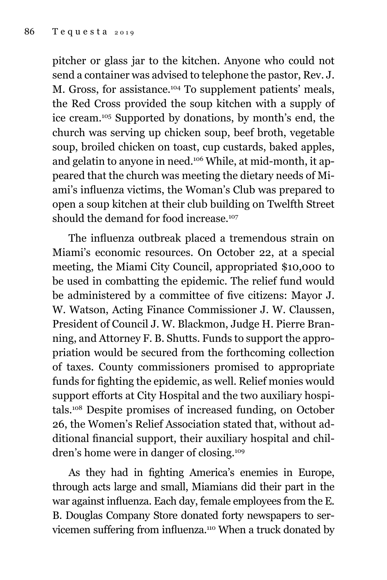pitcher or glass jar to the kitchen. Anyone who could not send a container was advised to telephone the pastor, Rev. J. M. Gross, for assistance.104 To supplement patients' meals, the Red Cross provided the soup kitchen with a supply of ice cream.105 Supported by donations, by month's end, the church was serving up chicken soup, beef broth, vegetable soup, broiled chicken on toast, cup custards, baked apples, and gelatin to anyone in need.106 While, at mid-month, it appeared that the church was meeting the dietary needs of Miami's influenza victims, the Woman's Club was prepared to open a soup kitchen at their club building on Twelfth Street should the demand for food increase.<sup>107</sup>

The influenza outbreak placed a tremendous strain on Miami's economic resources. On October 22, at a special meeting, the Miami City Council, appropriated \$10,000 to be used in combatting the epidemic. The relief fund would be administered by a committee of five citizens: Mayor J. W. Watson, Acting Finance Commissioner J. W. Claussen, President of Council J. W. Blackmon, Judge H. Pierre Branning, and Attorney F. B. Shutts. Funds to support the appropriation would be secured from the forthcoming collection of taxes. County commissioners promised to appropriate funds for fighting the epidemic, as well. Relief monies would support efforts at City Hospital and the two auxiliary hospitals.108 Despite promises of increased funding, on October 26, the Women's Relief Association stated that, without additional financial support, their auxiliary hospital and children's home were in danger of closing.109

As they had in fighting America's enemies in Europe, through acts large and small, Miamians did their part in the war against influenza. Each day, female employees from the E. B. Douglas Company Store donated forty newspapers to servicemen suffering from influenza.110 When a truck donated by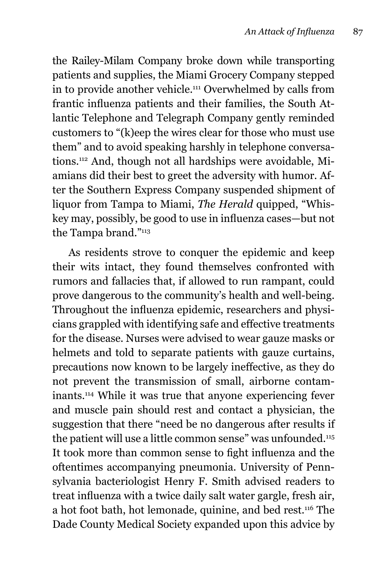the Railey-Milam Company broke down while transporting patients and supplies, the Miami Grocery Company stepped in to provide another vehicle.111 Overwhelmed by calls from frantic influenza patients and their families, the South Atlantic Telephone and Telegraph Company gently reminded customers to "(k)eep the wires clear for those who must use them" and to avoid speaking harshly in telephone conversations.112 And, though not all hardships were avoidable, Miamians did their best to greet the adversity with humor. After the Southern Express Company suspended shipment of liquor from Tampa to Miami, *The Herald* quipped, "Whiskey may, possibly, be good to use in influenza cases—but not the Tampa brand."113

As residents strove to conquer the epidemic and keep their wits intact, they found themselves confronted with rumors and fallacies that, if allowed to run rampant, could prove dangerous to the community's health and well-being. Throughout the influenza epidemic, researchers and physicians grappled with identifying safe and effective treatments for the disease. Nurses were advised to wear gauze masks or helmets and told to separate patients with gauze curtains, precautions now known to be largely ineffective, as they do not prevent the transmission of small, airborne contaminants.114 While it was true that anyone experiencing fever and muscle pain should rest and contact a physician, the suggestion that there "need be no dangerous after results if the patient will use a little common sense" was unfounded.<sup>115</sup> It took more than common sense to fight influenza and the oftentimes accompanying pneumonia. University of Pennsylvania bacteriologist Henry F. Smith advised readers to treat influenza with a twice daily salt water gargle, fresh air, a hot foot bath, hot lemonade, quinine, and bed rest.116 The Dade County Medical Society expanded upon this advice by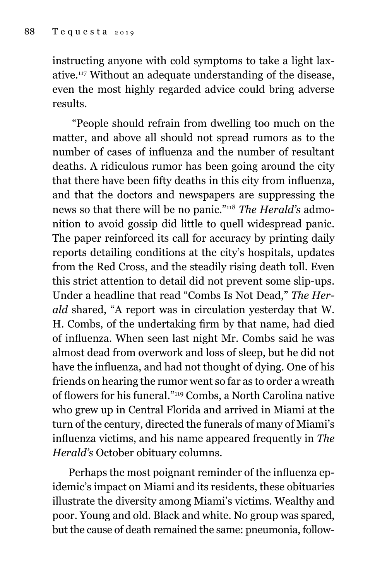instructing anyone with cold symptoms to take a light laxative.117 Without an adequate understanding of the disease, even the most highly regarded advice could bring adverse results.

 "People should refrain from dwelling too much on the matter, and above all should not spread rumors as to the number of cases of influenza and the number of resultant deaths. A ridiculous rumor has been going around the city that there have been fifty deaths in this city from influenza, and that the doctors and newspapers are suppressing the news so that there will be no panic."118 *The Herald's* admonition to avoid gossip did little to quell widespread panic. The paper reinforced its call for accuracy by printing daily reports detailing conditions at the city's hospitals, updates from the Red Cross, and the steadily rising death toll. Even this strict attention to detail did not prevent some slip-ups. Under a headline that read "Combs Is Not Dead," *The Herald* shared, "A report was in circulation yesterday that W. H. Combs, of the undertaking firm by that name, had died of influenza. When seen last night Mr. Combs said he was almost dead from overwork and loss of sleep, but he did not have the influenza, and had not thought of dying. One of his friends on hearing the rumor went so far as to order a wreath of flowers for his funeral."119 Combs, a North Carolina native who grew up in Central Florida and arrived in Miami at the turn of the century, directed the funerals of many of Miami's influenza victims, and his name appeared frequently in *The Herald's* October obituary columns.

Perhaps the most poignant reminder of the influenza epidemic's impact on Miami and its residents, these obituaries illustrate the diversity among Miami's victims. Wealthy and poor. Young and old. Black and white. No group was spared, but the cause of death remained the same: pneumonia, follow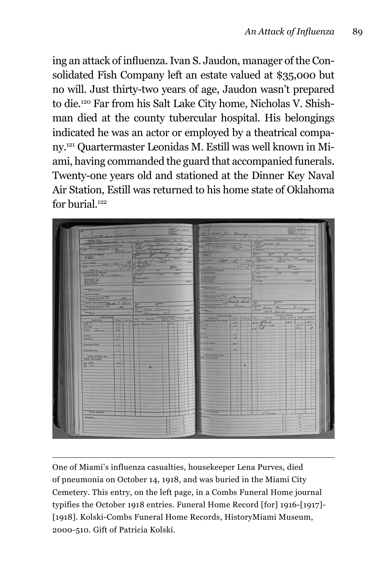ing an attack of influenza. Ivan S. Jaudon, manager of the Consolidated Fish Company left an estate valued at \$35,000 but no will. Just thirty-two years of age, Jaudon wasn't prepared to die.120 Far from his Salt Lake City home, Nicholas V. Shishman died at the county tubercular hospital. His belongings indicated he was an actor or employed by a theatrical company.121 Quartermaster Leonidas M. Estill was well known in Miami, having commanded the guard that accompanied funerals. Twenty-one years old and stationed at the Dinner Key Naval Air Station, Estill was returned to his home state of Oklahoma for burial.<sup>122</sup>

|                                                                | 40 minutes Corner                                                                                                                                                                                                                                                                 |                                |                                      | We come for leving<br>PERMIT OF TENNIS PATTERNY                   |                     | No. 1. Servero Phylantynia a specifica<br>1073 1504-11                                                                                                                                                                                                                                                                                                                                                                                                                     | <b>The Contract of the Contract of the Contract of the Contract of the Contract of the Contract of the Contract of the Contract of The Contract of The Contract of The Contract of The Contract of The Contract of The Contract </b> |
|----------------------------------------------------------------|-----------------------------------------------------------------------------------------------------------------------------------------------------------------------------------------------------------------------------------------------------------------------------------|--------------------------------|--------------------------------------|-------------------------------------------------------------------|---------------------|----------------------------------------------------------------------------------------------------------------------------------------------------------------------------------------------------------------------------------------------------------------------------------------------------------------------------------------------------------------------------------------------------------------------------------------------------------------------------|--------------------------------------------------------------------------------------------------------------------------------------------------------------------------------------------------------------------------------------|
| PERSONAL AND STATISTICS PARTIES OF<br><b>CHECK CONSULTANCE</b> |                                                                                                                                                                                                                                                                                   |                                |                                      | $\frac{1}{2}$ , and $\frac{1}{2}$ , $\frac{1}{2}$ , $\frac{1}{2}$ |                     | <b>世間調整</b><br><b>IR THE BELLET</b>                                                                                                                                                                                                                                                                                                                                                                                                                                        | <b>HAK</b><br>ARRISTEN                                                                                                                                                                                                               |
| <b>KYLINDERS</b><br><b>CRITICS</b>                             | $\begin{tabular}{l c c c c c c c c} \hline & $1000$ & $1000$ & $1000$ & $1000$\\ \hline \hline & $10000$ & $1000$ & $1000$ & $1000$\\ \hline \hline & $10000$ & $1000$ & $1000$ & $1000$\\ \hline \hline & $10000$ & $10000$ & $10000$ & $10000$ & $1000$\\ \hline \end{tabular}$ | <b>TELES</b>                   |                                      | <b>THE REAL PROPERTY</b><br><b>FAND</b>                           |                     | <b>West</b><br>$100^{14}$                                                                                                                                                                                                                                                                                                                                                                                                                                                  | <b>HITELE</b><br>15.500                                                                                                                                                                                                              |
| statement and the light                                        |                                                                                                                                                                                                                                                                                   |                                | $\overline{a}$                       | wann dept 12 1914<br><b>STATISTICS</b>                            | <b>LEF EXTR MAN</b> |                                                                                                                                                                                                                                                                                                                                                                                                                                                                            | Belleville 20 m Woodway                                                                                                                                                                                                              |
| <b>SALE TENNISSION</b><br>victima is record                    | $\frac{1}{\sqrt{1-\frac{1}{2}}}\left\vert \frac{1}{\sqrt{1-\frac{1}{2}}}\right\vert ^{2}$<br><b>Ballyman</b>                                                                                                                                                                      | $\frac{1}{2}$<br><b>Miller</b> |                                      | - Helen - man<br><b>MILLERIN OF THESIS</b>                        | $-100 - 100$        | Woodler !                                                                                                                                                                                                                                                                                                                                                                                                                                                                  | $\frac{11}{24}$<br><b>TOLOG</b>                                                                                                                                                                                                      |
| Water Ministry                                                 | <b>WATE</b><br><b>Emerites</b> 22000                                                                                                                                                                                                                                              | Than<br>Trees                  |                                      | of State and State .<br>streaments<br>The control                 |                     | <b>Since</b><br><b>TEM</b><br><b>BREADTOWN</b>                                                                                                                                                                                                                                                                                                                                                                                                                             | <b>TELLIN</b>                                                                                                                                                                                                                        |
| <b>WEEKS</b>                                                   | TEKERT                                                                                                                                                                                                                                                                            |                                | $\overline{a}$                       |                                                                   |                     | <b>Tragger</b>                                                                                                                                                                                                                                                                                                                                                                                                                                                             | <b>BURNER</b>                                                                                                                                                                                                                        |
| I REPORTED THE R.                                              |                                                                                                                                                                                                                                                                                   |                                |                                      | <b>ARTIFLIES SELVING</b><br>----------                            |                     |                                                                                                                                                                                                                                                                                                                                                                                                                                                                            |                                                                                                                                                                                                                                      |
| IN HANDLER FATTERS<br><b>CONTINUES OF GOTOR TWO</b>            | other                                                                                                                                                                                                                                                                             |                                |                                      | <b>SURGINIAN CO. MARRIED</b>                                      |                     |                                                                                                                                                                                                                                                                                                                                                                                                                                                                            |                                                                                                                                                                                                                                      |
| A BAYIN ACE OF MUTTER LAST                                     | Communications of the fact that                                                                                                                                                                                                                                                   | <b>PERMIT</b>                  |                                      | commence in Carlotte South 1911<br><b>CENTRICO DE AUTORIE DEL</b> | more                | <b>Silvers</b>                                                                                                                                                                                                                                                                                                                                                                                                                                                             |                                                                                                                                                                                                                                      |
| <b>Substitute</b>                                              | 26                                                                                                                                                                                                                                                                                | The West Pressed               | <b>Twenty</b>                        | <b>The Company</b>                                                |                     | William Marmore Bronze<br>1804 ave. 11                                                                                                                                                                                                                                                                                                                                                                                                                                     |                                                                                                                                                                                                                                      |
| MOS ELCORD<br><b>BROCKSTON</b>                                 | <b>HOS. I SATINE</b><br>Taiw                                                                                                                                                                                                                                                      | FLORIA AL LEGGIN<br>1950 87    | <b>Control Cheese   Loom   Print</b> | -                                                                 | <b>BOOK PARAS</b>   | $\label{eq:3.1} \mathbf{p}_{\text{in}} = \begin{bmatrix} -\mathbf{p}_{\text{in}} & \mathbf{p}_{\text{in}} \\ \mathbf{p}_{\text{in}} & \mathbf{p}_{\text{in}} \end{bmatrix} \begin{bmatrix} \mathbf{p}_{\text{in}} & \mathbf{p}_{\text{in}} \\ \mathbf{p}_{\text{in}} & \mathbf{p}_{\text{in}} \end{bmatrix} \begin{bmatrix} \mathbf{p}_{\text{in}} \\ \mathbf{p}_{\text{in}} \end{bmatrix} \begin{bmatrix} \mathbf{p}_{\text{in}} \\ \mathbf{p}_{\text{in}} \end{bmatrix}$ |                                                                                                                                                                                                                                      |
| <b>START</b><br><b>Outer Case</b>                              | 13 Loter<br>113<br>$\lambda$                                                                                                                                                                                                                                                      | 228                            | $231 -$                              | <b>SANTISTIC FORM</b><br><b><i><u>Ander Summer</u></i></b>        | <b>SOF</b><br>241   | 414 Solul<br>es ch                                                                                                                                                                                                                                                                                                                                                                                                                                                         | $122 -$<br><b>ARST.N</b><br>$sec(z)$ $enc(z)$                                                                                                                                                                                        |
| John Cheese                                                    | <b>Lead</b>                                                                                                                                                                                                                                                                       |                                |                                      | مالك<br>≕                                                         | ⋍<br>œ              |                                                                                                                                                                                                                                                                                                                                                                                                                                                                            | <b>Jewill</b><br>$-1$                                                                                                                                                                                                                |
| <b>External</b><br><b>Funeral Car</b>                          | œ<br>AA                                                                                                                                                                                                                                                                           |                                |                                      | <b>Call Call</b>                                                  | $\mathcal{M}$       |                                                                                                                                                                                                                                                                                                                                                                                                                                                                            |                                                                                                                                                                                                                                      |
| Proposester of Basic                                           | <b>Kat</b>                                                                                                                                                                                                                                                                        |                                |                                      | <b>Trongular of Budy</b>                                          | $-$                 |                                                                                                                                                                                                                                                                                                                                                                                                                                                                            |                                                                                                                                                                                                                                      |
| <b>Dennis Lemon</b>                                            | z                                                                                                                                                                                                                                                                                 |                                |                                      | <b>COLLEGE SCIENCE</b><br>THE REPORT NOT                          | 44.                 |                                                                                                                                                                                                                                                                                                                                                                                                                                                                            |                                                                                                                                                                                                                                      |
| <b>CASH ADVANCES</b>                                           |                                                                                                                                                                                                                                                                                   |                                |                                      | <b>CAME AUMAINCAR</b>                                             |                     |                                                                                                                                                                                                                                                                                                                                                                                                                                                                            |                                                                                                                                                                                                                                      |
| 19.65                                                          | 2211<br>265                                                                                                                                                                                                                                                                       |                                |                                      |                                                                   | u                   |                                                                                                                                                                                                                                                                                                                                                                                                                                                                            |                                                                                                                                                                                                                                      |
|                                                                |                                                                                                                                                                                                                                                                                   |                                |                                      |                                                                   |                     |                                                                                                                                                                                                                                                                                                                                                                                                                                                                            |                                                                                                                                                                                                                                      |
|                                                                |                                                                                                                                                                                                                                                                                   |                                |                                      |                                                                   |                     |                                                                                                                                                                                                                                                                                                                                                                                                                                                                            |                                                                                                                                                                                                                                      |
|                                                                |                                                                                                                                                                                                                                                                                   |                                |                                      |                                                                   |                     |                                                                                                                                                                                                                                                                                                                                                                                                                                                                            |                                                                                                                                                                                                                                      |
|                                                                |                                                                                                                                                                                                                                                                                   |                                |                                      |                                                                   |                     |                                                                                                                                                                                                                                                                                                                                                                                                                                                                            |                                                                                                                                                                                                                                      |
|                                                                |                                                                                                                                                                                                                                                                                   |                                |                                      |                                                                   |                     |                                                                                                                                                                                                                                                                                                                                                                                                                                                                            |                                                                                                                                                                                                                                      |
|                                                                |                                                                                                                                                                                                                                                                                   |                                |                                      | TOTAL ANOTHER                                                     |                     |                                                                                                                                                                                                                                                                                                                                                                                                                                                                            |                                                                                                                                                                                                                                      |
| TOTAL AWAINST<br><b>REMARKS</b>                                |                                                                                                                                                                                                                                                                                   |                                |                                      | <b>RUNGE</b>                                                      |                     | Paul                                                                                                                                                                                                                                                                                                                                                                                                                                                                       | ×                                                                                                                                                                                                                                    |

One of Miami's influenza casualties, housekeeper Lena Purves, died of pneumonia on October 14, 1918, and was buried in the Miami City Cemetery. This entry, on the left page, in a Combs Funeral Home journal typifies the October 1918 entries. Funeral Home Record [for] 1916-[1917]- [1918]. Kolski-Combs Funeral Home Records, HistoryMiami Museum, 2000-510. Gift of Patricia Kolski.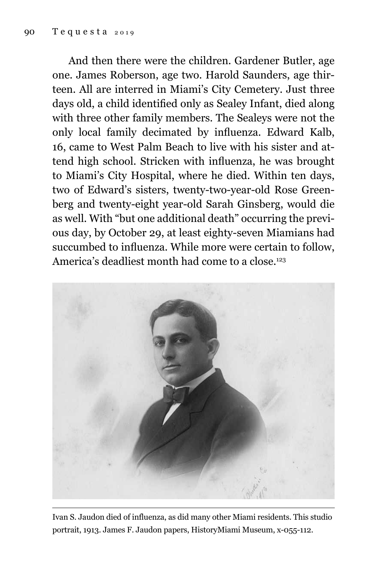And then there were the children. Gardener Butler, age one. James Roberson, age two. Harold Saunders, age thirteen. All are interred in Miami's City Cemetery. Just three days old, a child identified only as Sealey Infant, died along with three other family members. The Sealeys were not the only local family decimated by influenza. Edward Kalb, 16, came to West Palm Beach to live with his sister and attend high school. Stricken with influenza, he was brought to Miami's City Hospital, where he died. Within ten days, two of Edward's sisters, twenty-two-year-old Rose Greenberg and twenty-eight year-old Sarah Ginsberg, would die as well. With "but one additional death" occurring the previous day, by October 29, at least eighty-seven Miamians had succumbed to influenza. While more were certain to follow, America's deadliest month had come to a close.<sup>123</sup>



Ivan S. Jaudon died of influenza, as did many other Miami residents. This studio portrait, 1913. James F. Jaudon papers, HistoryMiami Museum, x-055-112.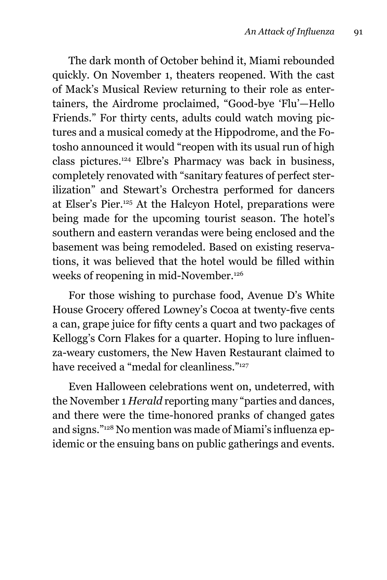The dark month of October behind it, Miami rebounded quickly. On November 1, theaters reopened. With the cast of Mack's Musical Review returning to their role as entertainers, the Airdrome proclaimed, "Good-bye 'Flu'—Hello Friends." For thirty cents, adults could watch moving pictures and a musical comedy at the Hippodrome, and the Fotosho announced it would "reopen with its usual run of high class pictures.124 Elbre's Pharmacy was back in business, completely renovated with "sanitary features of perfect sterilization" and Stewart's Orchestra performed for dancers at Elser's Pier.125 At the Halcyon Hotel, preparations were being made for the upcoming tourist season. The hotel's southern and eastern verandas were being enclosed and the basement was being remodeled. Based on existing reservations, it was believed that the hotel would be filled within weeks of reopening in mid-November.<sup>126</sup>

For those wishing to purchase food, Avenue D's White House Grocery offered Lowney's Cocoa at twenty-five cents a can, grape juice for fifty cents a quart and two packages of Kellogg's Corn Flakes for a quarter. Hoping to lure influenza-weary customers, the New Haven Restaurant claimed to have received a "medal for cleanliness."<sup>127</sup>

Even Halloween celebrations went on, undeterred, with the November 1 *Herald* reporting many "parties and dances, and there were the time-honored pranks of changed gates and signs."128 No mention was made of Miami's influenza epidemic or the ensuing bans on public gatherings and events.